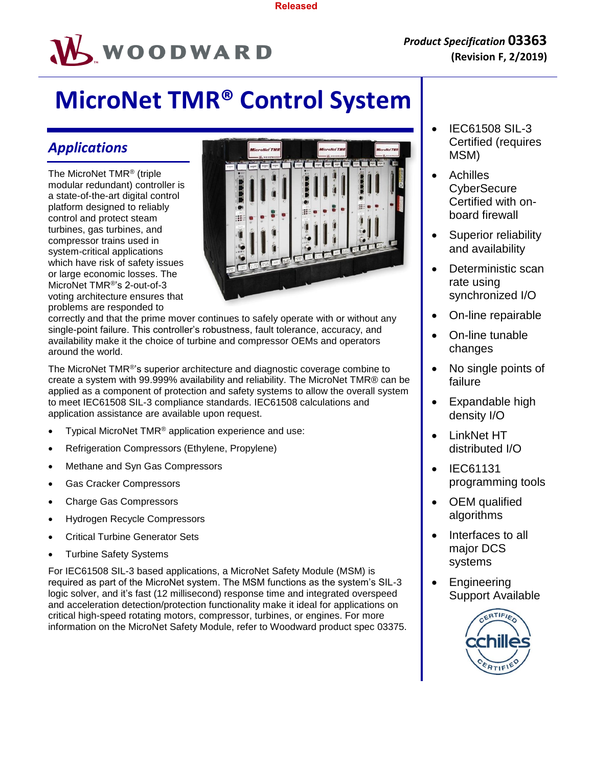

# **MicroNet TMR® Control System**

# *Applications*

The MicroNet TMR® (triple modular redundant) controller is a state-of-the-art digital control platform designed to reliably control and protect steam turbines, gas turbines, and compressor trains used in system-critical applications which have risk of safety issues or large economic losses. The MicroNet TMR®'s 2-out-of-3 voting architecture ensures that problems are responded to



correctly and that the prime mover continues to safely operate with or without any single-point failure. This controller's robustness, fault tolerance, accuracy, and availability make it the choice of turbine and compressor OEMs and operators around the world.

The MicroNet TMR®'s superior architecture and diagnostic coverage combine to create a system with 99.999% availability and reliability. The MicroNet TMR® can be applied as a component of protection and safety systems to allow the overall system to meet IEC61508 SIL-3 compliance standards. IEC61508 calculations and application assistance are available upon request.

- Typical MicroNet TMR® application experience and use:
- Refrigeration Compressors (Ethylene, Propylene)
- Methane and Syn Gas Compressors
- Gas Cracker Compressors
- Charge Gas Compressors
- Hydrogen Recycle Compressors
- Critical Turbine Generator Sets
- Turbine Safety Systems

For IEC61508 SIL-3 based applications, a MicroNet Safety Module (MSM) is required as part of the MicroNet system. The MSM functions as the system's SIL-3 logic solver, and it's fast (12 millisecond) response time and integrated overspeed and acceleration detection/protection functionality make it ideal for applications on critical high-speed rotating motors, compressor, turbines, or engines. For more information on the MicroNet Safety Module, refer to Woodward product spec 03375.

- IEC61508 SIL-3 Certified (requires MSM)
- Achilles **CyberSecure** Certified with onboard firewall
- Superior reliability and availability
- Deterministic scan rate using synchronized I/O
- On-line repairable
- On-line tunable changes
- No single points of failure
- Expandable high density I/O
- LinkNet HT distributed I/O
- IEC61131 programming tools
- OEM qualified algorithms
- Interfaces to all major DCS systems
- Engineering Support Available

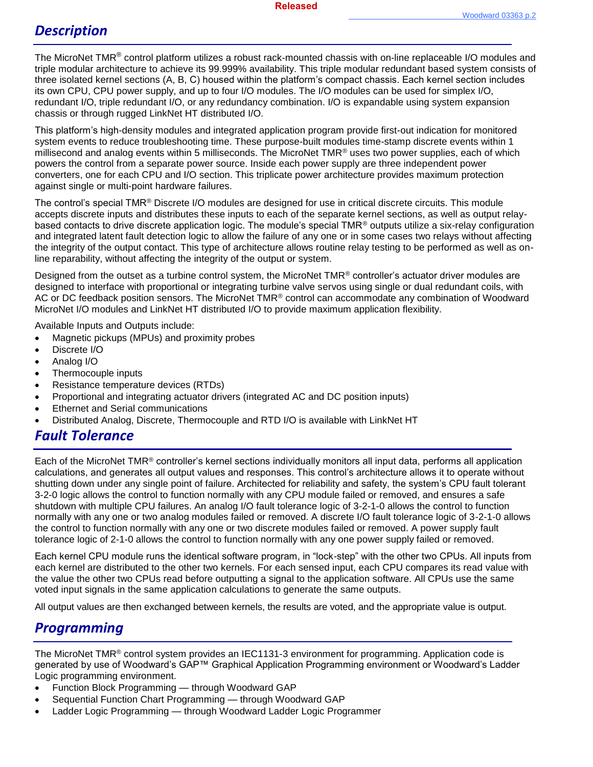# *Description*

The MicroNet TMR® control platform utilizes a robust rack-mounted chassis with on-line replaceable I/O modules and triple modular architecture to achieve its 99.999% availability. This triple modular redundant based system consists of three isolated kernel sections (A, B, C) housed within the platform's compact chassis. Each kernel section includes its own CPU, CPU power supply, and up to four I/O modules. The I/O modules can be used for simplex I/O, redundant I/O, triple redundant I/O, or any redundancy combination. I/O is expandable using system expansion chassis or through rugged LinkNet HT distributed I/O.

This platform's high-density modules and integrated application program provide first-out indication for monitored system events to reduce troubleshooting time. These purpose-built modules time-stamp discrete events within 1 millisecond and analog events within 5 milliseconds. The MicroNet TMR® uses two power supplies, each of which powers the control from a separate power source. Inside each power supply are three independent power converters, one for each CPU and I/O section. This triplicate power architecture provides maximum protection against single or multi-point hardware failures.

The control's special TMR® Discrete I/O modules are designed for use in critical discrete circuits. This module accepts discrete inputs and distributes these inputs to each of the separate kernel sections, as well as output relaybased contacts to drive discrete application logic. The module's special TMR® outputs utilize a six-relay configuration and integrated latent fault detection logic to allow the failure of any one or in some cases two relays without affecting the integrity of the output contact. This type of architecture allows routine relay testing to be performed as well as online reparability, without affecting the integrity of the output or system.

Designed from the outset as a turbine control system, the MicroNet TMR® controller's actuator driver modules are designed to interface with proportional or integrating turbine valve servos using single or dual redundant coils, with AC or DC feedback position sensors. The MicroNet TMR® control can accommodate any combination of Woodward MicroNet I/O modules and LinkNet HT distributed I/O to provide maximum application flexibility.

Available Inputs and Outputs include:

- Magnetic pickups (MPUs) and proximity probes
- Discrete I/O
- Analog I/O
- Thermocouple inputs
- Resistance temperature devices (RTDs)
- Proportional and integrating actuator drivers (integrated AC and DC position inputs)
- Ethernet and Serial communications
- Distributed Analog, Discrete, Thermocouple and RTD I/O is available with LinkNet HT

## *Fault Tolerance*

Each of the MicroNet TMR® controller's kernel sections individually monitors all input data, performs all application calculations, and generates all output values and responses. This control's architecture allows it to operate without shutting down under any single point of failure. Architected for reliability and safety, the system's CPU fault tolerant 3-2-0 logic allows the control to function normally with any CPU module failed or removed, and ensures a safe shutdown with multiple CPU failures. An analog I/O fault tolerance logic of 3-2-1-0 allows the control to function normally with any one or two analog modules failed or removed. A discrete I/O fault tolerance logic of 3-2-1-0 allows the control to function normally with any one or two discrete modules failed or removed. A power supply fault tolerance logic of 2-1-0 allows the control to function normally with any one power supply failed or removed.

Each kernel CPU module runs the identical software program, in "lock-step" with the other two CPUs. All inputs from each kernel are distributed to the other two kernels. For each sensed input, each CPU compares its read value with the value the other two CPUs read before outputting a signal to the application software. All CPUs use the same voted input signals in the same application calculations to generate the same outputs.

All output values are then exchanged between kernels, the results are voted, and the appropriate value is output.

## *Programming*

The MicroNet TMR® control system provides an IEC1131-3 environment for programming. Application code is generated by use of Woodward's GAP™ Graphical Application Programming environment or Woodward's Ladder Logic programming environment.

- Function Block Programming through Woodward GAP
- Sequential Function Chart Programming through Woodward GAP
- Ladder Logic Programming through Woodward Ladder Logic Programmer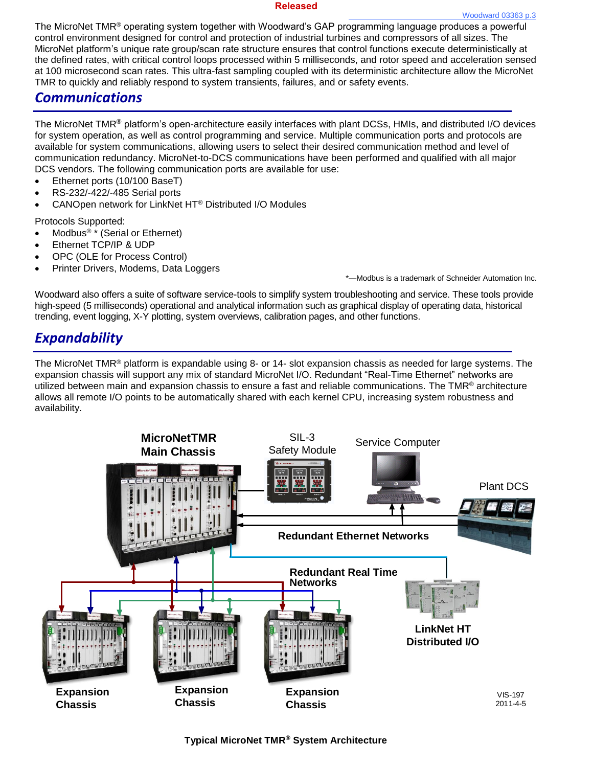#### **Released**

The MicroNet TMR® operating system together with Woodward's GAP programming language produces a powerful control environment designed for control and protection of industrial turbines and compressors of all sizes. The MicroNet platform's unique rate group/scan rate structure ensures that control functions execute deterministically at the defined rates, with critical control loops processed within 5 milliseconds, and rotor speed and acceleration sensed at 100 microsecond scan rates. This ultra-fast sampling coupled with its deterministic architecture allow the MicroNet TMR to quickly and reliably respond to system transients, failures, and or safety events.

### *Communications*

The MicroNet TMR® platform's open-architecture easily interfaces with plant DCSs, HMIs, and distributed I/O devices for system operation, as well as control programming and service. Multiple communication ports and protocols are available for system communications, allowing users to select their desired communication method and level of communication redundancy. MicroNet-to-DCS communications have been performed and qualified with all major DCS vendors. The following communication ports are available for use:

- Ethernet ports (10/100 BaseT)
- RS-232/-422/-485 Serial ports
- CANOpen network for LinkNet HT® Distributed I/O Modules

Protocols Supported:

- Modbus<sup>® \*</sup> (Serial or Ethernet)
- Ethernet TCP/IP & UDP
- OPC (OLE for Process Control)
- Printer Drivers, Modems, Data Loggers

\*—Modbus is a trademark of Schneider Automation Inc.

Woodward also offers a suite of software service-tools to simplify system troubleshooting and service. These tools provide high-speed (5 milliseconds) operational and analytical information such as graphical display of operating data, historical trending, event logging, X-Y plotting, system overviews, calibration pages, and other functions.

# *Expandability*

The MicroNet TMR® platform is expandable using 8- or 14- slot expansion chassis as needed for large systems. The expansion chassis will support any mix of standard MicroNet I/O. Redundant "Real-Time Ethernet" networks are utilized between main and expansion chassis to ensure a fast and reliable communications. The TMR® architecture allows all remote I/O points to be automatically shared with each kernel CPU, increasing system robustness and availability.

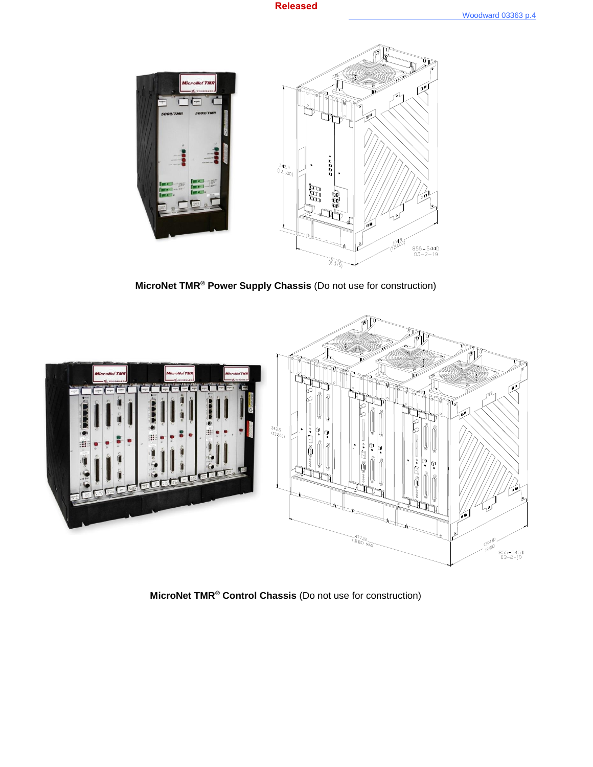

**MicroNet TMR® Power Supply Chassis** (Do not use for construction)



**MicroNet TMR® Control Chassis** (Do not use for construction)